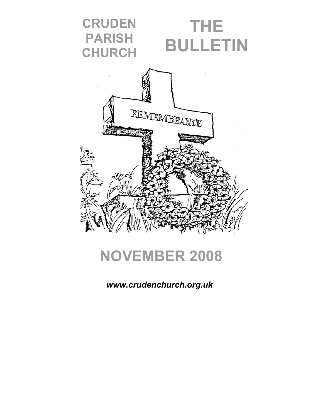

# **NOVEMBER 2008**

*www.crudenchurch.org.uk*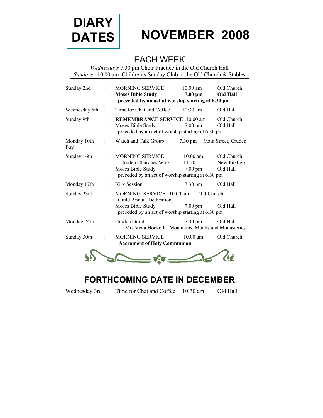

# **NOVEMBER 2008**

# EACH WEEK

*Wednesdays* 7.30 pm Choir Practice in the Old Church Hall *Sundays* 10.00 am Children's Sunday Club in the Old Church & Stables

| Sunday 2nd         |               | <b>MORNING SERVICE</b><br><b>Moses Bible Study</b><br>preceded by an act of worship starting at 6.30 pm                       | $10.00 \text{ am}$<br>7.00 pm                    | Old Church<br><b>Old Hall</b>          |
|--------------------|---------------|-------------------------------------------------------------------------------------------------------------------------------|--------------------------------------------------|----------------------------------------|
| Wednesday 5th      | $\mathcal{L}$ | Time for Chat and Coffee                                                                                                      | $10:30$ am                                       | Old Hall                               |
| Sunday 9th         |               | <b>REMEMBRANCE SERVICE 10.00 am</b><br>Moses Bible Study<br>preceded by an act of worship starting at 6.30 pm                 | $7.00 \text{ pm}$                                | Old Church<br>Old Hall                 |
| Monday 10th<br>Bay | ÷             | Watch and Talk Group                                                                                                          | $7.30 \text{ pm}$                                | Main Street, Cruden                    |
| Sunday 16th        |               | <b>MORNING SERVICE</b><br>Cruden Churches Walk<br>Moses Bible Study<br>preceded by an act of worship starting at 6.30 pm      | $10.00 \text{ am}$<br>11.30<br>$7.00 \text{ pm}$ | Old Church<br>New Pitsligo<br>Old Hall |
| Monday 17th        |               | Kirk Session                                                                                                                  | $7.30 \text{ pm}$                                | Old Hall                               |
| Sunday 23rd        |               | MORNING SERVICE 10.00 am<br>Guild Annual Dedication<br>Moses Bible Study<br>preceded by an act of worship starting at 6.30 pm | Old Church<br>$7.00 \text{ pm}$                  | Old Hall                               |
| Monday 24th        |               | Cruden Guild<br>Mrs Vena Hockell - Mountains, Monks and Monasteries                                                           | 7.30 pm                                          | Old Hall                               |
| Sunday 30th        |               | <b>MORNING SERVICE</b><br><b>Sacrament of Holy Communion</b>                                                                  | $10.00$ am                                       | Old Church                             |
|                    |               |                                                                                                                               |                                                  |                                        |

# **FORTHCOMING DATE IN DECEMBER**

Wednesday 3rd Time for Chat and Coffee 10:30 am Old Hall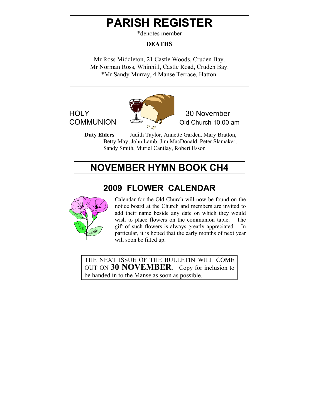# **PARISH REGISTER**

\*denotes member

#### **DEATHS**

Mr Ross Middleton, 21 Castle Woods, Cruden Bay. Mr Norman Ross, Whinhill, Castle Road, Cruden Bay. \*Mr Sandy Murray, 4 Manse Terrace, Hatton.



HOLY 30 November

**Duty Elders** Judith Taylor, Annette Garden, Mary Bratton, Betty May, John Lamb, Jim MacDonald, Peter Slamaker, Sandy Smith, Muriel Cantlay, Robert Esson

# **NOVEMBER HYMN BOOK CH4**

## **2009 FLOWER CALENDAR**



Calendar for the Old Church will now be found on the notice board at the Church and members are invited to add their name beside any date on which they would wish to place flowers on the communion table. The gift of such flowers is always greatly appreciated. In particular, it is hoped that the early months of next year will soon be filled up.

THE NEXT ISSUE OF THE BULLETIN WILL COME OUT ON **30 NOVEMBER**. Copy for inclusion to be handed in to the Manse as soon as possible.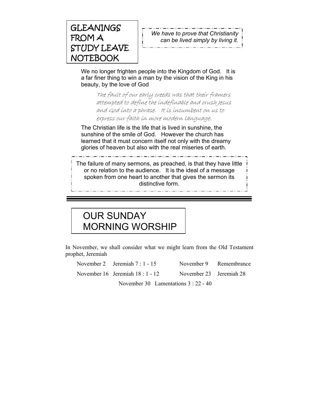

*We have to prove that Christianity can be lived simply by living it.* 

We no longer frighten people into the Kingdom of God. It is a far finer thing to win a man by the vision of the King in his beauty, by the love of God

The fault of our early creeds was that their framers attempted to define the indefinable and crush Jesus and God into a phrase. It is incumbent on us to express our faith in more modern language.

The Christian life is the life that is lived in sunshine, the sunshine of the smile of God. However the church has learned that it must concern itself not only with the dreamy glories of heaven but also with the real miseries of earth.

The failure of many sermons, as preached, is that they have little or no relation to the audience. It is the ideal of a message spoken from one heart to another that gives the sermon its distinctive form.

# OUR SUNDAY MORNING WORSHIP

In November, we shall consider what we might learn from the Old Testament prophet, Jeremiah

| November 2 Jeremiah $7:1 - 15$     |                                    | November 9 Remembrance |
|------------------------------------|------------------------------------|------------------------|
| November $16$ Jeremiah $18:1 - 12$ | November 23 Jeremiah 28            |                        |
|                                    | $\sim$ 1 0.0 $\sim$ $\sim$ 0.00 10 |                        |

November 30 Lamentations 3 : 22 - 40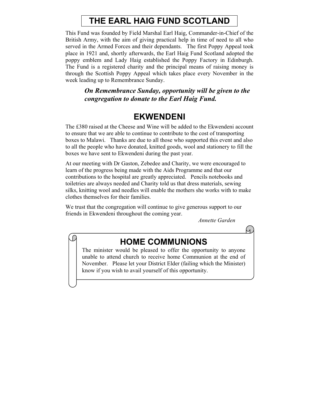# **THE EARL HAIG FUND SCOTLAND**

This Fund was founded by Field Marshal Earl Haig, Commander-in-Chief of the British Army, with the aim of giving practical help in time of need to all who served in the Armed Forces and their dependants. The first Poppy Appeal took place in 1921 and, shortly afterwards, the Earl Haig Fund Scotland adopted the poppy emblem and Lady Haig established the Poppy Factory in Edinburgh. The Fund is a registered charity and the principal means of raising money is through the Scottish Poppy Appeal which takes place every November in the week leading up to Remembrance Sunday.

> *On Remembrance Sunday, opportunity will be given to the congregation to donate to the Earl Haig Fund.*

#### **EKWENDENI**

The £380 raised at the Cheese and Wine will be added to the Ekwendeni account to ensure that we are able to continue to contribute to the cost of transporting boxes to Malawi. Thanks are due to all those who supported this event and also to all the people who have donated, knitted goods, wool and stationery to fill the boxes we have sent to Ekwendeni during the past year.

At our meeting with Dr Gaston, Zebedee and Charity, we were encouraged to learn of the progress being made with the Aids Programme and that our contributions to the hospital are greatly appreciated. Pencils notebooks and toiletries are always needed and Charity told us that dress materials, sewing silks, knitting wool and needles will enable the mothers she works with to make clothes themselves for their families.

We trust that the congregation will continue to give generous support to our friends in Ekwendeni throughout the coming year.

*Annette Garden* 

 $\overline{1}$ 

O

### **HOME COMMUNIONS**

The minister would be pleased to offer the opportunity to anyone unable to attend church to receive home Communion at the end of November. Please let your District Elder (failing which the Minister) know if you wish to avail yourself of this opportunity.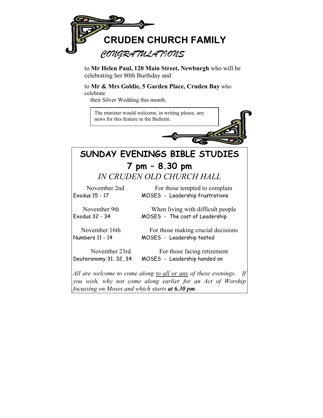

to **Mr Helen Paul, 120 Main Street, Newburgh** who will be celebrating her 80th Burthday and

to **Mr & Mrs Goldie, 5 Garden Place, Cruden Bay** who

celebrate

their Silver Wedding this month.



*you wish, why not come along earlier for an Act of Worship focussing on Moses and which starts at 6.30 pm.*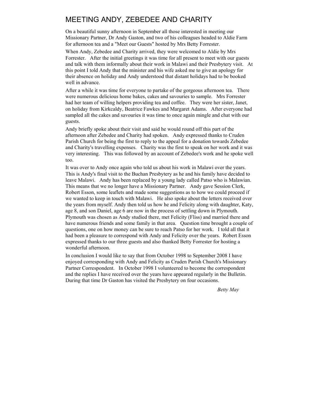#### MEETING ANDY, ZEBEDEE AND CHARITY

On a beautiful sunny afternoon in September all those interested in meeting our Missionary Partner, Dr Andy Gaston, and two of his colleagues headed to Aldie Farm for afternoon tea and a "Meet our Guests" hosted by Mrs Betty Forrester.

When Andy, Zebedee and Charity arrived, they were welcomed to Aldie by Mrs Forrester. After the initial greetings it was time for all present to meet with our guests and talk with them informally about their work in Malawi and their Presbytery visit. At this point I told Andy that the minister and his wife asked me to give an apology for their absence on holiday and Andy understood that distant holidays had to be booked well in advance.

After a while it was time for everyone to partake of the gorgeous afternoon tea. There were numerous delicious home bakes, cakes and savouries to sample. Mrs Forrester had her team of willing helpers providing tea and coffee. They were her sister, Janet, on holiday from Kirkcaldy, Beatrice Fawkes and Margaret Adams. After everyone had sampled all the cakes and savouries it was time to once again mingle and chat with our guests.

Andy briefly spoke about their visit and said he would round off this part of the afternoon after Zebedee and Charity had spoken. Andy expressed thanks to Cruden Parish Church for being the first to reply to the appeal for a donation towards Zebedee and Charity's travelling expenses. Charity was the first to speak on her work and it was very interesting. This was followed by an account of Zebedee's work and he spoke well too.

It was over to Andy once again who told us about his work in Malawi over the years. This is Andy's final visit to the Buchan Presbytery as he and his family have decided to leave Malawi. Andy has been replaced by a young lady called Patso who is Malawian. This means that we no longer have a Missionary Partner. Andy gave Session Clerk, Robert Esson, some leaflets and made some suggestions as to how we could proceed if we wanted to keep in touch with Malawi. He also spoke about the letters received over the years from myself. Andy then told us how he and Felicity along with daughter, Katy, age 8, and son Daniel, age 6 are now in the process of settling down in Plymouth. Plymouth was chosen as Andy studied there, met Felicity (Fliss) and married there and have numerous friends and some family in that area. Question time brought a couple of questions, one on how money can be sure to reach Patso for her work. I told all that it had been a pleasure to correspond with Andy and Felicity over the years. Robert Esson expressed thanks to our three guests and also thanked Betty Forrester for hosting a wonderful afternoon.

In conclusion I would like to say that from October 1998 to September 2008 I have enjoyed corresponding with Andy and Felicity as Cruden Parish Church's Missionary Partner Correspondent. In October 1998 I volunteered to become the correspondent and the replies I have received over the years have appeared regularly in the Bulletin. During that time Dr Gaston has visited the Presbytery on four occasions.

*Betty May*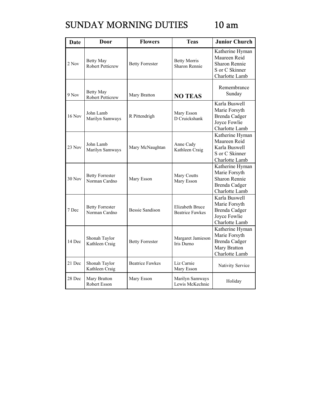# SUNDAY MORNING DUTIES 10 am

| <b>Date</b>   | Door                                        | <b>Flowers</b>         | <b>Teas</b>                                      | <b>Junior Church</b>                                                                        |
|---------------|---------------------------------------------|------------------------|--------------------------------------------------|---------------------------------------------------------------------------------------------|
| 2 Nov         | Betty May<br><b>Robert Petticrew</b>        | <b>Betty Forrester</b> | <b>Betty Morris</b><br>Sharon Rennie             | Katherine Hyman<br>Maureen Reid<br><b>Sharon Rennie</b><br>S or C Skinner<br>Charlotte Lamb |
| 9 Nov         | <b>Betty May</b><br><b>Robert Petticrew</b> | Mary Bratton           | <b>NO TEAS</b>                                   | Remembrance<br>Sunday                                                                       |
| <b>16 Nov</b> | John Lamb<br>Marilyn Samways                | R Pittendrigh          | Mary Esson<br>D Cruickshank                      | Karla Buswell<br>Marie Forsyth<br>Brenda Cadger<br>Joyce Fowlie<br>Charlotte Lamb           |
| 23 Nov        | John Lamb<br>Marilyn Samways                | Mary McNaughtan        | Anne Cady<br>Kathleen Craig                      | Katherine Hyman<br>Maureen Reid<br>Karla Buswell<br>S or C Skinner<br>Charlotte Lamb        |
| <b>30 Nov</b> | <b>Betty Forrester</b><br>Norman Cardno     | Mary Esson             | Mary Coutts<br>Mary Esson                        | Katherine Hyman<br>Marie Forsyth<br>Sharon Rennie<br><b>Brenda Cadger</b><br>Charlotte Lamb |
| 7 Dec         | <b>Betty Forrester</b><br>Norman Cardno     | <b>Bessie Sandison</b> | <b>Elizabeth Bruce</b><br><b>Beatrice Fawkes</b> | Karla Buswell<br>Marie Forsyth<br>Brenda Cadger<br>Joyce Fowlie<br>Charlotte Lamb           |
| 14 Dec        | Shonah Taylor<br>Kathleen Craig             | <b>Betty Forrester</b> | Margaret Jamieson<br>Iris Durno                  | Katherine Hyman<br>Marie Forsyth<br>Brenda Cadger<br>Mary Bratton<br>Charlotte Lamb         |
| 21 Dec        | Shonah Taylor<br>Kathleen Craig             | <b>Beatrice Fawkes</b> | Liz Carnie<br>Mary Esson                         | Nativity Service                                                                            |
| 28 Dec        | Mary Bratton<br>Robert Esson                | Mary Esson             | Marilyn Samways<br>Lewis McKechnie               | Holiday                                                                                     |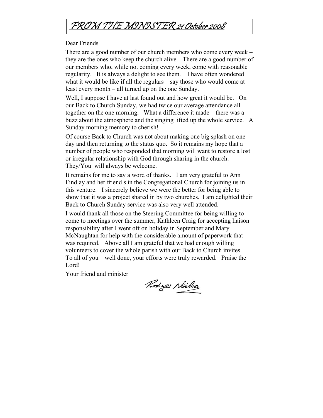

#### Dear Friends

There are a good number of our church members who come every week – they are the ones who keep the church alive. There are a good number of our members who, while not coming every week, come with reasonable regularity. It is always a delight to see them. I have often wondered what it would be like if all the regulars – say those who would come at least every month – all turned up on the one Sunday.

Well, I suppose I have at last found out and how great it would be. On our Back to Church Sunday, we had twice our average attendance all together on the one morning. What a difference it made – there was a buzz about the atmosphere and the singing lifted up the whole service. A Sunday morning memory to cherish!

Of course Back to Church was not about making one big splash on one day and then returning to the status quo. So it remains my hope that a number of people who responded that morning will want to restore a lost or irregular relationship with God through sharing in the church. They/You will always be welcome.

It remains for me to say a word of thanks. I am very grateful to Ann Findlay and her friend s in the Congregational Church for joining us in this venture. I sincerely believe we were the better for being able to show that it was a project shared in by two churches. I am delighted their Back to Church Sunday service was also very well attended.

I would thank all those on the Steering Committee for being willing to come to meetings over the summer, Kathleen Craig for accepting liaison responsibility after I went off on holiday in September and Mary McNaughtan for help with the considerable amount of paperwork that was required. Above all I am grateful that we had enough willing volunteers to cover the whole parish with our Back to Church invites. To all of you – well done, your efforts were truly rewarded. Praise the Lord!

Your friend and minister

Rodges Neils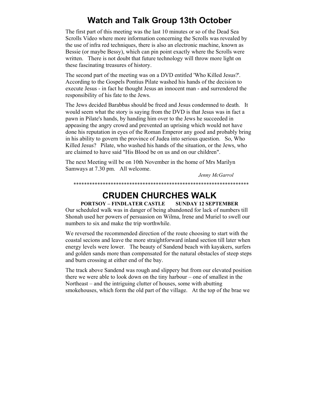## **Watch and Talk Group 13th October**

The first part of this meeting was the last 10 minutes or so of the Dead Sea Scrolls Video where more information concerning the Scrolls was revealed by the use of infra red techniques, there is also an electronic machine, known as Bessie (or maybe Bessy), which can pin point exactly where the Scrolls were written. There is not doubt that future technology will throw more light on these fascinating treasures of history.

The second part of the meeting was on a DVD entitled 'Who Killed Jesus?'. According to the Gospels Pontius Pilate washed his hands of the decision to execute Jesus - in fact he thought Jesus an innocent man - and surrendered the responsibility of his fate to the Jews.

The Jews decided Barabbas should be freed and Jesus condemned to death. It would seem what the story is saying from the DVD is that Jesus was in fact a pawn in Pilate's hands, by handing him over to the Jews he succeeded in appeasing the angry crowd and prevented an uprising which would not have done his reputation in eyes of the Roman Emperor any good and probably bring in his ability to govern the province of Judea into serious question. So, Who Killed Jesus? Pilate, who washed his hands of the situation, or the Jews, who are claimed to have said "His Blood be on us and on our children".

The next Meeting will be on 10th November in the home of Mrs Marilyn Samways at 7.30 pm. All welcome.

*Jenny McGarrol* 

### \*\*\*\*\*\*\*\*\*\*\*\*\*\*\*\*\*\*\*\*\*\*\*\*\*\*\*\*\*\*\*\*\*\*\*\*\*\*\*\*\*\*\*\*\*\*\*\*\*\*\*\*\*\*\*\*\*\*\*\*\*\*\*\*\*\*

## **CRUDEN CHURCHES WALK**

**PORTSOY – FINDLATER CASTLE SUNDAY 12 SEPTEMBER**  Our scheduled walk was in danger of being abandoned for lack of numbers till Shonah used her powers of persuasion on Wilma, Irene and Muriel to swell our numbers to six and make the trip worthwhile.

We reversed the recommended direction of the route choosing to start with the coastal secions and leave the more straightforward inland section till later when energy levels were lower. The beauty of Sandend beach with kayakers, surfers and golden sands more than compensated for the natural obstacles of steep steps and burn crossing at either end of the bay.

The track above Sandend was rough and slippery but from our elevated position there we were able to look down on the tiny harbour – one of smallest in the Northeast – and the intriguing clutter of houses, some with abutting smokehouses, which form the old part of the village. At the top of the brae we